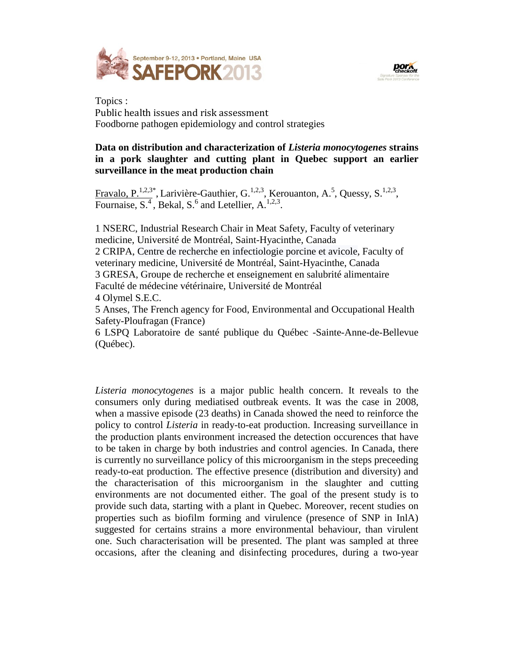



Topics : Public health issues and risk assessment Foodborne pathogen epidemiology and control strategies

## **Data on distribution and characterization of** *Listeria monocytogenes* **strains in a pork slaughter and cutting plant in Quebec support an earlier surveillance in the meat production chain**

Fravalo, P.<sup>1,2,3\*</sup>, Larivière-Gauthier, G.<sup>1,2,3</sup>, Kerouanton, A.<sup>5</sup>, Quessy, S.<sup>1,2,3</sup>, Fournaise,  $S^4$ , Bekal,  $S^6$  and Letellier,  $A^{1,2,3}$ .

1 NSERC, Industrial Research Chair in Meat Safety, Faculty of veterinary medicine, Université de Montréal, Saint-Hyacinthe, Canada 2 CRIPA, Centre de recherche en infectiologie porcine et avicole, Faculty of veterinary medicine, Université de Montréal, Saint-Hyacinthe, Canada 3 GRESA, Groupe de recherche et enseignement en salubrité alimentaire Faculté de médecine vétérinaire, Université de Montréal 4 Olymel S.E.C.

5 Anses, The French agency for Food, Environmental and Occupational Health Safety-Ploufragan (France)

6 LSPQ Laboratoire de santé publique du Québec -Sainte-Anne-de-Bellevue (Québec).

*Listeria monocytogenes* is a major public health concern. It reveals to the consumers only during mediatised outbreak events. It was the case in 2008, when a massive episode (23 deaths) in Canada showed the need to reinforce the policy to control *Listeria* in ready-to-eat production. Increasing surveillance in the production plants environment increased the detection occurences that have to be taken in charge by both industries and control agencies. In Canada, there is currently no surveillance policy of this microorganism in the steps preceeding ready-to-eat production. The effective presence (distribution and diversity) and the characterisation of this microorganism in the slaughter and cutting environments are not documented either. The goal of the present study is to provide such data, starting with a plant in Quebec. Moreover, recent studies on properties such as biofilm forming and virulence (presence of SNP in InlA) suggested for certains strains a more environmental behaviour, than virulent one. Such characterisation will be presented. The plant was sampled at three occasions, after the cleaning and disinfecting procedures, during a two-year